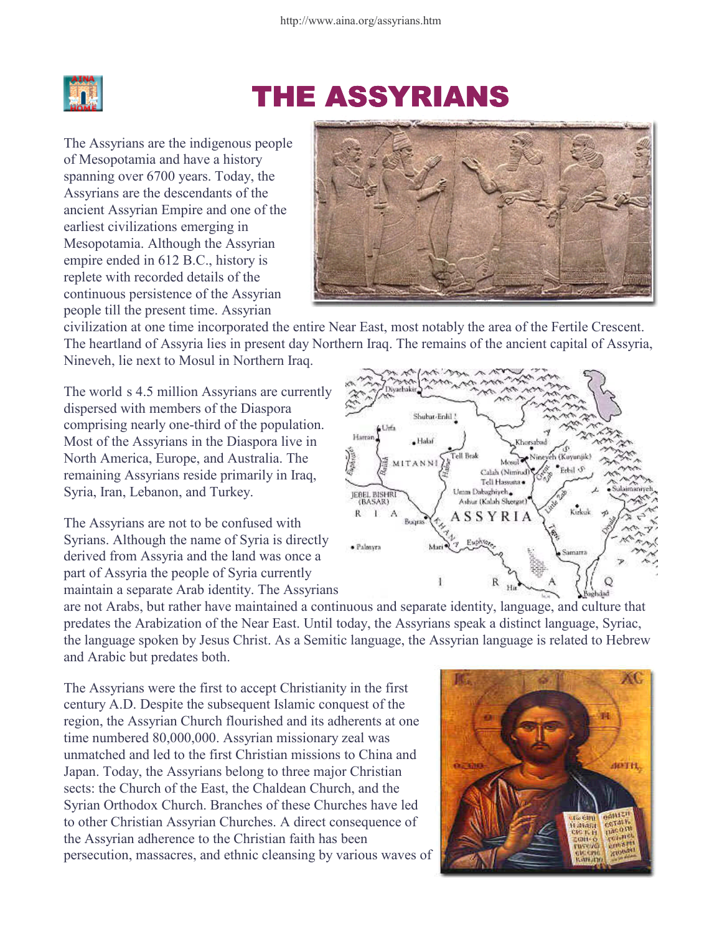

## **THE ASSYRIANS**

The Assyrians are the indigenous people of Mesopotamia and have a history spanning over 6700 years. Today, the Assyrians are the descendants of the ancient Assyrian Empire and one of the earliest civilizations emerging in Mesopotamia. Although the Assyrian empire ended in 612 B.C., history is replete with recorded details of the continuous persistence of the Assyrian people till the present time. Assyrian



civilization at one time incorporated the entire Near East, most notably the area of the Fertile Crescent. The heartland of Assyria lies in present day Northern Iraq. The remains of the ancient capital of Assyria, Nineveh, lie next to Mosul in Northern Iraq.

The worldís 4.5 million Assyrians are currently dispersed with members of the Diaspora comprising nearly one-third of the population. Most of the Assyrians in the Diaspora live in North America, Europe, and Australia. The remaining Assyrians reside primarily in Iraq, Syria, Iran, Lebanon, and Turkey.

The Assyrians are not to be confused with Syrians. Although the name of Syria is directly derived from Assyria and the land was once a part of Assyria the people of Syria currently maintain a separate Arab identity. The Assyrians



are not Arabs, but rather have maintained a continuous and separate identity, language, and culture that predates the Arabization of the Near East. Until today, the Assyrians speak a distinct language, Syriac, the language spoken by Jesus Christ. As a Semitic language, the Assyrian language is related to Hebrew and Arabic but predates both.

The Assyrians were the first to accept Christianity in the first century A.D. Despite the subsequent Islamic conquest of the region, the Assyrian Church flourished and its adherents at one time numbered 80,000,000. Assyrian missionary zeal was unmatched and led to the first Christian missions to China and Japan. Today, the Assyrians belong to three major Christian sects: the Church of the East, the Chaldean Church, and the Syrian Orthodox Church. Branches of these Churches have led to other Christian Assyrian Churches. A direct consequence of the Assyrian adherence to the Christian faith has been persecution, massacres, and ethnic cleansing by various waves of

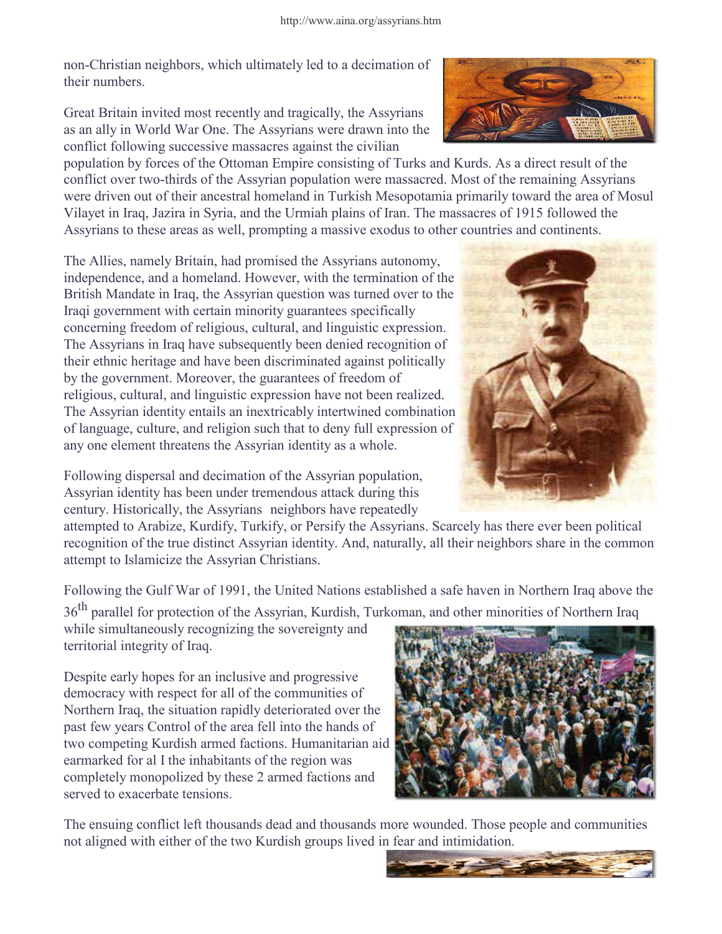non-Christian neighbors, which ultimately led to a decimation of their numbers.

Great Britain invited most recently and tragically, the Assyrians as an ally in World War One. The Assyrians were drawn into the conflict following successive massacres against the civilian

population by forces of the Ottoman Empire consisting of Turks and Kurds. As a direct result of the conflict over two-thirds of the Assyrian population were massacred. Most of the remaining Assyrians were driven out of their ancestral homeland in Turkish Mesopotamia primarily toward the area of Mosul Vilayet in Iraq, Jazira in Syria, and the Urmiah plains of Iran. The massacres of 1915 followed the Assyrians to these areas as well, prompting a massive exodus to other countries and continents.

The Allies, namely Britain, had promised the Assyrians autonomy, independence, and a homeland. However, with the termination of the British Mandate in Iraq, the Assyrian question was turned over to the Iraqi government with certain minority guarantees specifically concerning freedom of religious, cultural, and linguistic expression. The Assyrians in Iraq have subsequently been denied recognition of their ethnic heritage and have been discriminated against politically by the government. Moreover, the guarantees of freedom of religious, cultural, and linguistic expression have not been realized. The Assyrian identity entails an inextricably intertwined combination of language, culture, and religion such that to deny full expression of any one element threatens the Assyrian identity as a whole.

Following dispersal and decimation of the Assyrian population, Assyrian identity has been under tremendous attack during this century. Historically, the Assyriansí neighbors have repeatedly

attempted to Arabize, Kurdify, Turkify, or Persify the Assyrians. Scarcely has there ever been political recognition of the true distinct Assyrian identity. And, naturally, all their neighbors share in the common attempt to Islamicize the Assyrian Christians.

Following the Gulf War of 1991, the United Nations established a safe haven in Northern Iraq above the

36<sup>th</sup> parallel for protection of the Assyrian, Kurdish, Turkoman, and other minorities of Northern Iraq

while simultaneously recognizing the sovereignty and territorial integrity of Iraq.

Despite early hopes for an inclusive and progressive democracy with respect for all of the communities of Northern Iraq, the situation rapidly deteriorated over the past few years Control of the area fell into the hands of two competing Kurdish armed factions. Humanitarian aid earmarked for al I the inhabitants of the region was completely monopolized by these 2 armed factions and served to exacerbate tensions.

The ensuing conflict left thousands dead and thousands more wounded. Those people and communities not aligned with either of the two Kurdish groups lived in fear and intimidation.







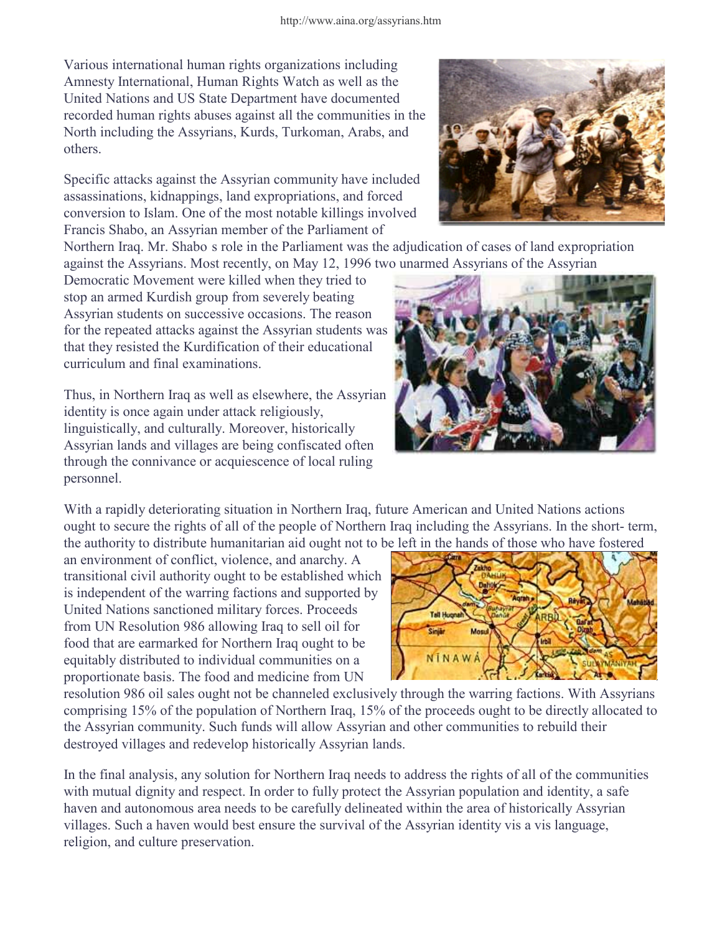Various international human rights organizations including Amnesty International, Human Rights Watch as well as the United Nations and US State Department have documented recorded human rights abuses against all the communities in the North including the Assyrians, Kurds, Turkoman, Arabs, and others.

Specific attacks against the Assyrian community have included assassinations, kidnappings, land expropriations, and forced conversion to Islam. One of the most notable killings involved Francis Shabo, an Assyrian member of the Parliament of

Northern Iraq. Mr. Shaboís role in the Parliament was the adjudication of cases of land expropriation against the Assyrians. Most recently, on May 12, 1996 two unarmed Assyrians of the Assyrian

Democratic Movement were killed when they tried to stop an armed Kurdish group from severely beating Assyrian students on successive occasions. The reason for the repeated attacks against the Assyrian students was that they resisted the Kurdification of their educational curriculum and final examinations.

Thus, in Northern Iraq as well as elsewhere, the Assyrian identity is once again under attack religiously, linguistically, and culturally. Moreover, historically Assyrian lands and villages are being confiscated often through the connivance or acquiescence of local ruling personnel.

With a rapidly deteriorating situation in Northern Iraq, future American and United Nations actions ought to secure the rights of all of the people of Northern Iraq including the Assyrians. In the short- term, the authority to distribute humanitarian aid ought not to be left in the hands of those who have fostered

an environment of conflict, violence, and anarchy. A transitional civil authority ought to be established which is independent of the warring factions and supported by United Nations sanctioned military forces. Proceeds from UN Resolution 986 allowing Iraq to sell oil for food that are earmarked for Northern Iraq ought to be equitably distributed to individual communities on a proportionate basis. The food and medicine from UN

resolution 986 oil sales ought not be channeled exclusively through the warring factions. With Assyrians comprising 15% of the population of Northern Iraq, 15% of the proceeds ought to be directly allocated to the Assyrian community. Such funds will allow Assyrian and other communities to rebuild their destroyed villages and redevelop historically Assyrian lands.

In the final analysis, any solution for Northern Iraq needs to address the rights of all of the communities with mutual dignity and respect. In order to fully protect the Assyrian population and identity, a safe haven and autonomous area needs to be carefully delineated within the area of historically Assyrian villages. Such a haven would best ensure the survival of the Assyrian identity vis a vis language, religion, and culture preservation.